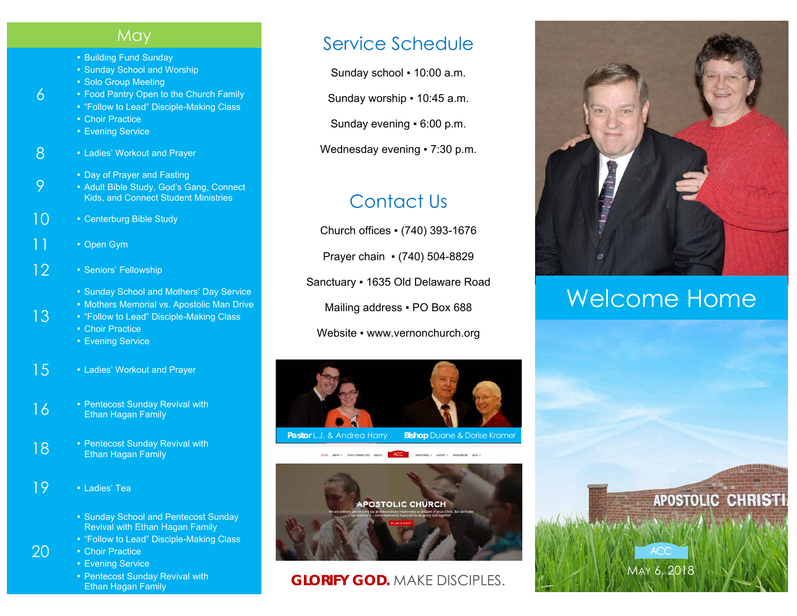#### **May**

- Building Fund Sunday
- **Sunday School and Worship**
- Solo Group Meeting
- Food Pantry Open to the Church Family
- "Follow to Lead" Disciple-Making Class
- Choir Practice

6

9

13

20

- **Evening Service**
- 8 Ladies' Workout and Prayer
	- **Day of Prayer and Fasting**
	- Adult Bible Study, God's Gang, Connect Kids, and Connect Student Ministries
- 10 Centerburg Bible Study
- 11 Open Gym
- 12 Seniors' Fellowship
	- **Sunday School and Mothers' Day Service**
	- Mothers Memorial vs. Apostolic Man Drive
	- "Follow to Lead" Disciple-Making Class **• Choir Practice** 
		- Evening Service
- 15 Ladies' Workout and Prayer
- $16$  Pentecost Sunday Revival with Ethan Hagan Family
- **18** Pentecost Sunday Revival with Ethan Hagan Family
- $19$  **•** Ladies' Tea
	- Sunday School and Pentecost Sunday Revival with Ethan Hagan Family
	- "Follow to Lead" Disciple-Making Class
	- **Choir Practice** 
		- **Evening Service**
		- Pentecost Sunday Revival with Ethan Hagan Family

### Service Schedule

Sunday school ▪ 10:00 a.m.

Sunday worship ▪ 10:45 a.m.

Sunday evening ▪ 6:00 p.m.

Wednesday evening • 7:30 p.m.

## Contact Us

Church offices ▪ (740) 393-1676 Prayer chain ▪ (740) 504-8829 Sanctuary ▪ 1635 Old Delaware Road Mailing address . PO Box 688 Website • www.vernonchurch.org





#### **GLORIFY GOD.** MAKE DISCIPLES.



# Welcome Home